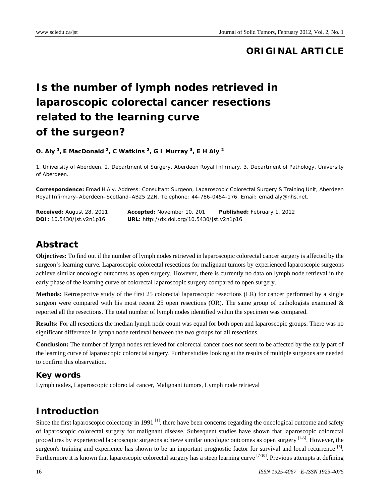# **ORIGINAL ARTICLE**

# **Is the number of lymph nodes retrieved in laparoscopic colorectal cancer resections related to the learning curve of the surgeon?**

**O. Aly 1, E MacDonald 2, C Watkins 2, G I Murray 3, E H Aly 2** 

1. University of Aberdeen. 2. Department of Surgery, Aberdeen Royal Infirmary. 3. Department of Pathology, University of Aberdeen.

**Correspondence:** Emad H Aly. Address: Consultant Surgeon, Laparoscopic Colorectal Surgery & Training Unit, Aberdeen Royal Infirmary–Aberdeen–Scotland–AB25 2ZN. Telephone: 44-786-0454-176. Email: emad.aly@nhs.net.

| <b>Received:</b> August 28, 2011   | <b>Accepted:</b> November 10, 201                 | <b>Published:</b> February 1, 2012 |
|------------------------------------|---------------------------------------------------|------------------------------------|
| <b>DOI</b> : $10.5430/jst.v2n1p16$ | <b>URL:</b> http://dx.doi.org/10.5430/jst.v2n1p16 |                                    |

# **Abstract**

**Objectives:** To find out if the number of lymph nodes retrieved in laparoscopic colorectal cancer surgery is affected by the surgeon's learning curve. Laparoscopic colorectal resections for malignant tumors by experienced laparoscopic surgeons achieve similar oncologic outcomes as open surgery. However, there is currently no data on lymph node retrieval in the early phase of the learning curve of colorectal laparoscopic surgery compared to open surgery.

**Methods:** Retrospective study of the first 25 colorectal laparoscopic resections (LR) for cancer performed by a single surgeon were compared with his most recent 25 open resections (OR). The same group of pathologists examined  $\&$ reported all the resections. The total number of lymph nodes identified within the specimen was compared.

**Results:** For all resections the median lymph node count was equal for both open and laparoscopic groups. There was no significant difference in lymph node retrieval between the two groups for all resections.

**Conclusion:** The number of lymph nodes retrieved for colorectal cancer does not seem to be affected by the early part of the learning curve of laparoscopic colorectal surgery. Further studies looking at the results of multiple surgeons are needed to confirm this observation.

#### **Key words**

Lymph nodes, Laparoscopic colorectal cancer, Malignant tumors, Lymph node retrieval

### **Introduction**

Since the first laparoscopic colectomy in 1991 $^{[1]}$ , there have been concerns regarding the oncological outcome and safety of laparoscopic colorectal surgery for malignant disease. Subsequent studies have shown that laparoscopic colorectal procedures by experienced laparoscopic surgeons achieve similar oncologic outcomes as open surgery  $[2-5]$ . However, the surgeon's training and experience has shown to be an important prognostic factor for survival and local recurrence [6]. Furthermore it is known that laparoscopic colorectal surgery has a steep learning curve  $[7-10]$ . Previous attempts at defining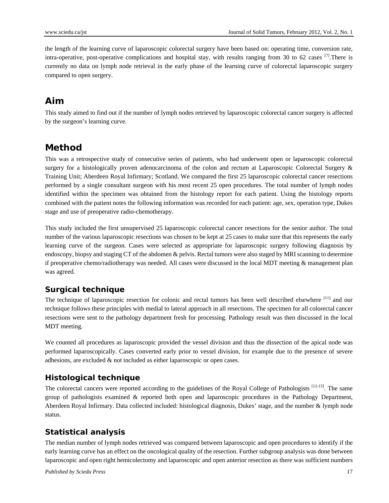the length of the learning curve of laparoscopic colorectal surgery have been based on: operating time, conversion rate, intra-operative, post-operative complications and hospital stay, with results ranging from 30 to 62 cases  $\frac{[7]}{]}$ . There is currently no data on lymph node retrieval in the early phase of the learning curve of colorectal laparoscopic surgery compared to open surgery.

# **Aim**

This study aimed to find out if the number of lymph nodes retrieved by laparoscopic colorectal cancer surgery is affected by the surgeon's learning curve.

# **Method**

This was a retrospective study of consecutive series of patients, who had underwent open or laparoscopic colorectal surgery for a histologically proven adenocarcinoma of the colon and rectum at Laparoscopic Colorectal Surgery & Training Unit; Aberdeen Royal Infirmary; Scotland. We compared the first 25 laparoscopic colorectal cancer resections performed by a single consultant surgeon with his most recent 25 open procedures. The total number of lymph nodes identified within the specimen was obtained from the histology report for each patient. Using the histology reports combined with the patient notes the following information was recorded for each patient: age, sex, operation type, Dukes stage and use of preoperative radio-chemotherapy.

This study included the first unsupervised 25 laparoscopic colorectal cancer resections for the senior author. The total number of the various laparoscopic resections was chosen to be kept at 25 cases to make sure that this represents the early learning curve of the surgeon. Cases were selected as appropriate for laparoscopic surgery following diagnosis by endoscopy, biopsy and staging CT of the abdomen & pelvis. Rectal tumors were also staged by MRI scanning to determine if preoperative chemo/radiotherapy was needed. All cases were discussed in the local MDT meeting & management plan was agreed.

### **Surgical technique**

The technique of laparoscopic resection for colonic and rectal tumors has been well described elsewhere [11] and our technique follows these principles with medial to lateral approach in all resections. The specimen for all colorectal cancer resections were sent to the pathology department fresh for processing. Pathology result was then discussed in the local MDT meeting.

We counted all procedures as laparoscopic provided the vessel division and thus the dissection of the apical node was performed laparoscopically. Cases converted early prior to vessel division, for example due to the presence of severe adhesions, are excluded & not included as either laparoscopic or open cases.

#### **Histological technique**

The colorectal cancers were reported according to the guidelines of the Royal College of Pathologists [12-13]. The same group of pathologists examined & reported both open and laparoscopic procedures in the Pathology Department, Aberdeen Royal Infirmary. Data collected included: histological diagnosis, Dukes' stage, and the number & lymph node status.

#### **Statistical analysis**

The median number of lymph nodes retrieved was compared between laparoscopic and open procedures to identify if the early learning curve has an effect on the oncological quality of the resection. Further subgroup analysis was done between laparoscopic and open right hemicolectomy and laparoscopic and open anterior resection as there was sufficient numbers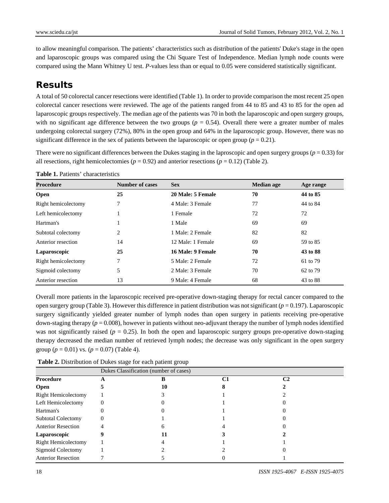to allow meaningful comparison. The patients' characteristics such as distribution of the patients' Duke's stage in the open and laparoscopic groups was compared using the Chi Square Test of Independence. Median lymph node counts were compared using the Mann Whitney U test. *P*-values less than or equal to 0.05 were considered statistically significant.

# **Results**

A total of 50 colorectal cancer resections were identified (Table 1). In order to provide comparison the most recent 25 open colorectal cancer resections were reviewed. The age of the patients ranged from 44 to 85 and 43 to 85 for the open ad laparoscopic groups respectively. The median age of the patients was 70 in both the laparoscopic and open surgery groups, with no significant age difference between the two groups ( $p = 0.54$ ). Overall there were a greater number of males undergoing colorectal surgery (72%), 80% in the open group and 64% in the laparoscopic group. However, there was no significant difference in the sex of patients between the laparoscopic or open group ( $p = 0.21$ ).

There were no significant differences between the Dukes staging in the laproscopic and open surgery groups ( $p = 0.33$ ) for all resections, right hemicolectomies ( $p = 0.92$ ) and anterior resections ( $p = 0.12$ ) (Table 2).

| Procedure           | Number of cases | <b>Sex</b>        | <b>Median age</b> | Age range |
|---------------------|-----------------|-------------------|-------------------|-----------|
| Open                | 25              | 20 Male: 5 Female | 70                | 44 to 85  |
| Right hemicolectomy | 7               | 4 Male: 3 Female  | 77                | 44 to 84  |
| Left hemicolectomy  |                 | 1 Female          | 72                | 72        |
| Hartman's           |                 | 1 Male            | 69                | 69        |
| Subtotal colectomy  | 2               | 1 Male: 2 Female  | 82                | 82        |
| Anterior resection  | 14              | 12 Male: 1 Female | 69                | 59 to 85  |
| Laparoscopic        | 25              | 16 Male: 9 Female | 70                | 43 to 88  |
| Right hemicolectomy | 7               | 5 Male: 2 Female  | 72                | 61 to 79  |
| Sigmoid colectomy   | 5               | 2 Male: 3 Female  | 70                | 62 to 79  |
| Anterior resection  | 13              | 9 Male: 4 Female  | 68                | 43 to 88  |

**Table 1.** Patients' characteristics

Overall more patients in the laparoscopic received pre-operative down-staging therapy for rectal cancer compared to the open surgery group (Table 3). However this difference in patient distribution was not significant ( $p = 0.197$ ). Laparoscopic surgery significantly yielded greater number of lymph nodes than open surgery in patients receiving pre-operative down-staging therapy (*p* = 0.008), however in patients without neo-adjuvant therapy the number of lymph nodes identified was not significantly raised  $(p = 0.25)$ . In both the open and laparoscopic surgery groups pre-operative down-staging therapy decreased the median number of retrieved lymph nodes; the decrease was only significant in the open surgery group ( $p = 0.01$ ) vs. ( $p = 0.07$ ) (Table 4).

**Table 2.** Distribution of Dukes stage for each patient group

|                            | Dukes Classification (number of cases) |    |    |    |
|----------------------------|----------------------------------------|----|----|----|
| <b>Procedure</b>           | A                                      |    | C1 | C2 |
| <b>Open</b>                |                                        | 10 |    |    |
| <b>Right Hemicolectomy</b> |                                        |    |    |    |
| Left Hemicolectomy         |                                        |    |    |    |
| Hartman's                  |                                        |    |    |    |
| <b>Subtotal Colectomy</b>  |                                        |    |    |    |
| <b>Anterior Resection</b>  |                                        |    |    |    |
| Laparoscopic               |                                        |    |    |    |
| <b>Right Hemicolectomy</b> |                                        |    |    |    |
| Sigmoid Colectomy          |                                        |    |    |    |
| <b>Anterior Resection</b>  |                                        |    |    |    |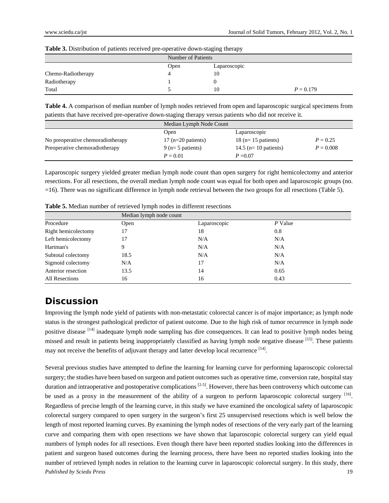| Table 3. Distribution of patients received pre-operative down-staging therapy |
|-------------------------------------------------------------------------------|
|-------------------------------------------------------------------------------|

|                    | Number of Patients |              |             |
|--------------------|--------------------|--------------|-------------|
|                    | Open               | Laparoscopic |             |
| Chemo-Radiotherapy | 4                  | 10           |             |
| Radiotherapy       |                    |              |             |
| Total              |                    | 10           | $P = 0.179$ |

**Table 4.** A comparison of median number of lymph nodes retrieved from open and laparoscopic surgical specimens from patients that have received pre-operative down-staging therapy versus patients who did not receive it.

|                                   |                      | Median Lymph Node Count |             |  |
|-----------------------------------|----------------------|-------------------------|-------------|--|
|                                   | Open                 | Laparoscopic            |             |  |
| No preoperative chemoradiotherapy | $17$ (n=20 patients) | 18 ( $n=15$ patients)   | $P = 0.25$  |  |
| Preoperative chemoradiotherapy    | $9$ (n= 5 patients)  | 14.5 ( $n=10$ patients) | $P = 0.008$ |  |
|                                   | $P = 0.01$           | $P = 0.07$              |             |  |

Laparoscopic surgery yielded greater median lymph node count than open surgery for right hemicolectomy and anterior resections. For all resections, the overall median lymph node count was equal for both open and laparoscopic groups (no. =16). There was no significant difference in lymph node retrieval between the two groups for all resections (Table 5).

|                     | Median lymph node count |              |         |
|---------------------|-------------------------|--------------|---------|
| Procedure           | Open                    | Laparoscopic | P Value |
| Right hemicolectomy | 17                      | 18           | 0.8     |
| Left hemicolectomy  | 17                      | N/A          | N/A     |
| Hartman's           |                         | N/A          | N/A     |
| Subtotal colectomy  | 18.5                    | N/A          | N/A     |
| Sigmoid colectomy   | N/A                     | 17           | N/A     |
| Anterior resection  | 13.5                    | 14           | 0.65    |
| All Resections      | 16                      | 16           | 0.43    |

**Table 5.** Median number of retrieved lymph nodes in different resections

### **Discussion**

Improving the lymph node yield of patients with non-metastatic colorectal cancer is of major importance; as lymph node status is the strongest pathological predictor of patient outcome. Due to the high risk of tumor recurrence in lymph node positive disease  $[14]$  inadequate lymph node sampling has dire consequences. It can lead to positive lymph nodes being missed and result in patients being inappropriately classified as having lymph node negative disease  $[15]$ . These patients may not receive the benefits of adjuvant therapy and latter develop local recurrence [14].

*Published by Sciedu Press* 19 Several previous studies have attempted to define the learning for learning curve for performing laparoscopic colorectal surgery; the studies have been based on surgeon and patient outcomes such as operative time, conversion rate, hospital stay duration and intraoperative and postoperative complications  $[2-5]$ . However, there has been controversy which outcome can be used as a proxy in the measurement of the ability of a surgeon to perform laparoscopic colorectal surgery  $[16]$ . Regardless of precise length of the learning curve, in this study we have examined the oncological safety of laparoscopic colorectal surgery compared to open surgery in the surgeon's first 25 unsupervised resections which is well below the length of most reported learning curves. By examining the lymph nodes of resections of the very early part of the learning curve and comparing them with open resections we have shown that laparoscopic colorectal surgery can yield equal numbers of lymph nodes for all resections. Even though there have been reported studies looking into the differences in patient and surgeon based outcomes during the learning process, there have been no reported studies looking into the number of retrieved lymph nodes in relation to the learning curve in laparoscopic colorectal surgery. In this study, there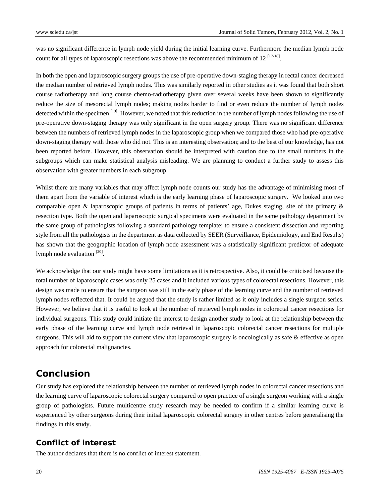was no significant difference in lymph node yield during the initial learning curve. Furthermore the median lymph node count for all types of laparoscopic resections was above the recommended minimum of  $12^{[17-18]}$ .

In both the open and laparoscopic surgery groups the use of pre-operative down-staging therapy in rectal cancer decreased the median number of retrieved lymph nodes. This was similarly reported in other studies as it was found that both short course radiotherapy and long course chemo-radiotherapy given over several weeks have been shown to significantly reduce the size of mesorectal lymph nodes; making nodes harder to find or even reduce the number of lymph nodes detected within the specimen  $[19]$ . However, we noted that this reduction in the number of lymph nodes following the use of pre-operative down-staging therapy was only significant in the open surgery group. There was no significant difference between the numbers of retrieved lymph nodes in the laparoscopic group when we compared those who had pre-operative down-staging therapy with those who did not. This is an interesting observation; and to the best of our knowledge, has not been reported before. However, this observation should be interpreted with caution due to the small numbers in the subgroups which can make statistical analysis misleading. We are planning to conduct a further study to assess this observation with greater numbers in each subgroup.

Whilst there are many variables that may affect lymph node counts our study has the advantage of minimising most of them apart from the variable of interest which is the early learning phase of laparoscopic surgery. We looked into two comparable open & laparoscopic groups of patients in terms of patients' age, Dukes staging, site of the primary & resection type. Both the open and laparoscopic surgical specimens were evaluated in the same pathology department by the same group of pathologists following a standard pathology template; to ensure a consistent dissection and reporting style from all the pathologists in the department as data collected by SEER (Surveillance, Epidemiology, and End Results) has shown that the geographic location of lymph node assessment was a statistically significant predictor of adequate lymph node evaluation  $[20]$ .

We acknowledge that our study might have some limitations as it is retrospective. Also, it could be criticised because the total number of laparoscopic cases was only 25 cases and it included various types of colorectal resections. However, this design was made to ensure that the surgeon was still in the early phase of the learning curve and the number of retrieved lymph nodes reflected that. It could be argued that the study is rather limited as it only includes a single surgeon series. However, we believe that it is useful to look at the number of retrieved lymph nodes in colorectal cancer resections for individual surgeons. This study could initiate the interest to design another study to look at the relationship between the early phase of the learning curve and lymph node retrieval in laparoscopic colorectal cancer resections for multiple surgeons. This will aid to support the current view that laparoscopic surgery is oncologically as safe  $\&$  effective as open approach for colorectal malignancies.

#### **Conclusion**

Our study has explored the relationship between the number of retrieved lymph nodes in colorectal cancer resections and the learning curve of laparoscopic colorectal surgery compared to open practice of a single surgeon working with a single group of pathologists. Future multicentre study research may be needed to confirm if a similar learning curve is experienced by other surgeons during their initial laparoscopic colorectal surgery in other centres before generalising the findings in this study.

#### **Conflict of interest**

The author declares that there is no conflict of interest statement.